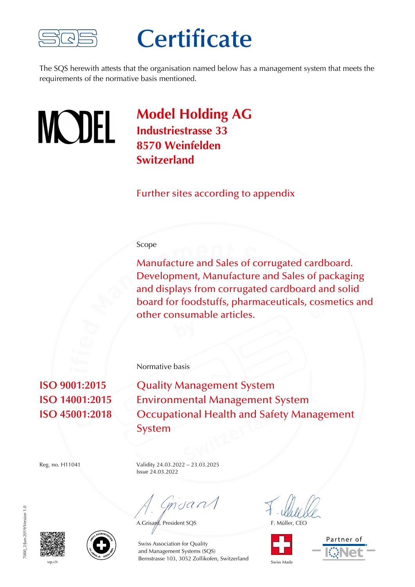

### **Certificate**

The SQS herewith attests that the organisation named below has a management system that meets the requirements of the normative basis mentioned.



**Model Holding AG Industriestrasse 33 8570 Weinfelden Switzerland**

Further sites according to appendix

#### Scope

Manufacture and Sales of corrugated cardboard. Development, Manufacture and Sales of packaging and displays from corrugated cardboard and solid board for foodstuffs, pharmaceuticals, cosmetics and other consumable articles.

Normative basis

**ISO 9001:2015** Quality Management System **ISO 14001:2015** Environmental Management System **ISO 45001:2018** Occupational Health and Safety Management System

Reg. no. H11041 Validity 24.03.2022 – 23.03.2025

Issue 24.03.2022

mdan

A.Grisard, President SQS F. Müller, CEO









sqs.ch Bernstrasse 103, 3052 Zollikofen, Switzerland Swiss Made Swiss Association for Quality and Management Systems (SQS)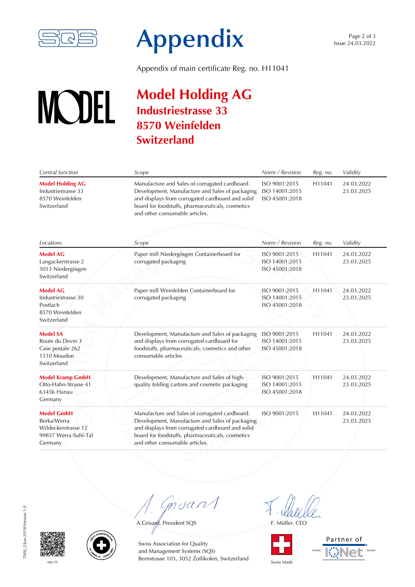

# **Appendix**

Appendix of main certificate Reg. no. H11041

### **Model Holding AG WODEL Industriestrasse 33 8570 Weinfelden Switzerland**

| Central function                                                                           | Scope                                                                                                                                                                                                                                       | Norm / Revision                                   | Reg. no. | Validity                 |
|--------------------------------------------------------------------------------------------|---------------------------------------------------------------------------------------------------------------------------------------------------------------------------------------------------------------------------------------------|---------------------------------------------------|----------|--------------------------|
| <b>Model Holding AG</b><br>Industriestrasse 33<br>8570 Weinfelden<br>Switzerland           | Manufacture and Sales of corrugated cardboard.<br>Development, Manufacture and Sales of packaging<br>and displays from corrugated cardboard and solid<br>board for foodstuffs, pharmaceuticals, cosmetics<br>and other consumable articles. | ISO 9001:2015<br>ISO 14001:2015<br>ISO 45001:2018 | H11041   | 24.03.2022<br>23.03.2025 |
| Locations                                                                                  | Scope                                                                                                                                                                                                                                       | Norm / Revision                                   | Reg. no. | Validity                 |
| <b>Model AG</b><br>Langackerstrasse 2<br>5013 Niedergösgen<br>Switzerland                  | Paper mill Niedergösgen Containerboard for<br>corrugated packaging                                                                                                                                                                          | ISO 9001:2015<br>ISO 14001:2015<br>ISO 45001:2018 | H11041   | 24.03.2022<br>23.03.2025 |
| <b>Model AG</b><br>Industriestrasse 30<br>Postfach<br>8570 Weinfelden<br>Switzerland       | Paper mill Weinfelden Containerboard for<br>corrugated packaging                                                                                                                                                                            | ISO 9001:2015<br>ISO 14001:2015<br>ISO 45001:2018 | H11041   | 24.03.2022<br>23.03.2025 |
| <b>Model SA</b><br>Route du Devin 3<br>Case postale 262<br>1510 Moudon<br>Switzerland      | Development, Manufacture and Sales of packaging<br>and displays from corrugated cardboard for<br>foodstuffs, pharmaceuticals, cosmetics and other<br>consumable articles                                                                    | ISO 9001:2015<br>ISO 14001:2015<br>ISO 45001:2018 | H11041   | 24.03.2022<br>23.03.2025 |
| <b>Model Kramp GmbH</b><br>Otto-Hahn-Strasse 41<br>63456 Hanau<br>Germany                  | Development, Manufacture and Sales of high-<br>quality folding cartons and cosmetic packaging                                                                                                                                               | ISO 9001:2015<br>ISO 14001:2015<br>ISO 45001:2018 | H11041   | 24.03.2022<br>23.03.2025 |
| <b>Model GmbH</b><br>Berka/Werra<br>Wildeckerstrasse 12<br>99837 Werra-Suhl-Tal<br>Germany | Manufacture and Sales of corrugated cardboard.<br>Development, Manufacture and Sales of packaging<br>and displays from corrugated cardboard and solid<br>board for foodstuffs, pharmaceuticals, cosmetics<br>and other consumable articles. | ISO 9001:2015                                     | H11041   | 24.03.2022<br>23.03.2025 |

Grisant

A.Grisard, President SQS F. Müller, CEO



Partner of





sqs.ch Bernstrasse 103, 3052 Zollikofen, Switzerland Swiss Made Swiss Association for Quality and Management Systems (SQS)